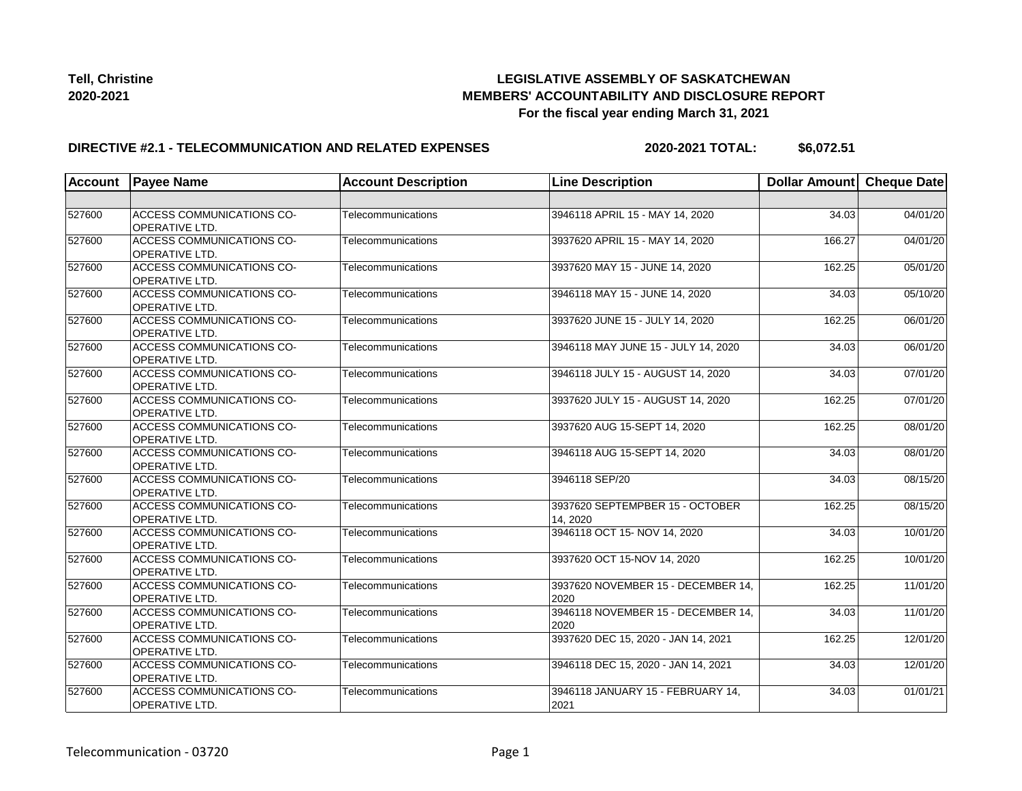

### **DIRECTIVE #2.1 - TELECOMMUNICATION AND RELATED EXPENSES**

**2020-2021 TOTAL: \$6,072.51**

| <b>Account</b> | <b>Payee Name</b>                                         | <b>Account Description</b> | <b>Line Description</b>                     | Dollar Amount Cheque Date |          |
|----------------|-----------------------------------------------------------|----------------------------|---------------------------------------------|---------------------------|----------|
|                |                                                           |                            |                                             |                           |          |
| 527600         | <b>ACCESS COMMUNICATIONS CO-</b><br><b>OPERATIVE LTD.</b> | Telecommunications         | 3946118 APRIL 15 - MAY 14, 2020             | 34.03                     | 04/01/20 |
| 527600         | <b>ACCESS COMMUNICATIONS CO-</b><br><b>OPERATIVE LTD.</b> | Telecommunications         | 3937620 APRIL 15 - MAY 14, 2020             | 166.27                    | 04/01/20 |
| 527600         | <b>ACCESS COMMUNICATIONS CO-</b><br><b>OPERATIVE LTD.</b> | Telecommunications         | 3937620 MAY 15 - JUNE 14, 2020              | 162.25                    | 05/01/20 |
| 527600         | <b>ACCESS COMMUNICATIONS CO-</b><br><b>OPERATIVE LTD.</b> | Telecommunications         | 3946118 MAY 15 - JUNE 14, 2020              | 34.03                     | 05/10/20 |
| 527600         | <b>ACCESS COMMUNICATIONS CO-</b><br><b>OPERATIVE LTD.</b> | Telecommunications         | 3937620 JUNE 15 - JULY 14, 2020             | 162.25                    | 06/01/20 |
| 527600         | ACCESS COMMUNICATIONS CO-<br><b>OPERATIVE LTD.</b>        | Telecommunications         | 3946118 MAY JUNE 15 - JULY 14, 2020         | 34.03                     | 06/01/20 |
| 527600         | <b>ACCESS COMMUNICATIONS CO-</b><br>OPERATIVE LTD.        | Telecommunications         | 3946118 JULY 15 - AUGUST 14, 2020           | 34.03                     | 07/01/20 |
| 527600         | ACCESS COMMUNICATIONS CO-<br><b>OPERATIVE LTD.</b>        | Telecommunications         | 3937620 JULY 15 - AUGUST 14, 2020           | 162.25                    | 07/01/20 |
| 527600         | ACCESS COMMUNICATIONS CO-<br><b>OPERATIVE LTD.</b>        | Telecommunications         | 3937620 AUG 15-SEPT 14, 2020                | 162.25                    | 08/01/20 |
| 527600         | <b>ACCESS COMMUNICATIONS CO-</b><br>OPERATIVE LTD.        | Telecommunications         | 3946118 AUG 15-SEPT 14, 2020                | 34.03                     | 08/01/20 |
| 527600         | ACCESS COMMUNICATIONS CO-<br><b>OPERATIVE LTD.</b>        | Telecommunications         | 3946118 SEP/20                              | 34.03                     | 08/15/20 |
| 527600         | ACCESS COMMUNICATIONS CO-<br><b>OPERATIVE LTD.</b>        | Telecommunications         | 3937620 SEPTEMPBER 15 - OCTOBER<br>14, 2020 | 162.25                    | 08/15/20 |
| 527600         | <b>ACCESS COMMUNICATIONS CO-</b><br>OPERATIVE LTD.        | Telecommunications         | 3946118 OCT 15- NOV 14, 2020                | 34.03                     | 10/01/20 |
| 527600         | <b>ACCESS COMMUNICATIONS CO-</b><br><b>OPERATIVE LTD.</b> | Telecommunications         | 3937620 OCT 15-NOV 14, 2020                 | 162.25                    | 10/01/20 |
| 527600         | <b>ACCESS COMMUNICATIONS CO-</b><br><b>OPERATIVE LTD.</b> | Telecommunications         | 3937620 NOVEMBER 15 - DECEMBER 14,<br>2020  | 162.25                    | 11/01/20 |
| 527600         | ACCESS COMMUNICATIONS CO-<br><b>OPERATIVE LTD.</b>        | Telecommunications         | 3946118 NOVEMBER 15 - DECEMBER 14,<br>2020  | 34.03                     | 11/01/20 |
| 527600         | ACCESS COMMUNICATIONS CO-<br><b>OPERATIVE LTD.</b>        | Telecommunications         | 3937620 DEC 15, 2020 - JAN 14, 2021         | 162.25                    | 12/01/20 |
| 527600         | <b>ACCESS COMMUNICATIONS CO-</b><br><b>OPERATIVE LTD.</b> | Telecommunications         | 3946118 DEC 15, 2020 - JAN 14, 2021         | 34.03                     | 12/01/20 |
| 527600         | <b>ACCESS COMMUNICATIONS CO-</b><br><b>OPERATIVE LTD.</b> | Telecommunications         | 3946118 JANUARY 15 - FEBRUARY 14,<br>2021   | 34.03                     | 01/01/21 |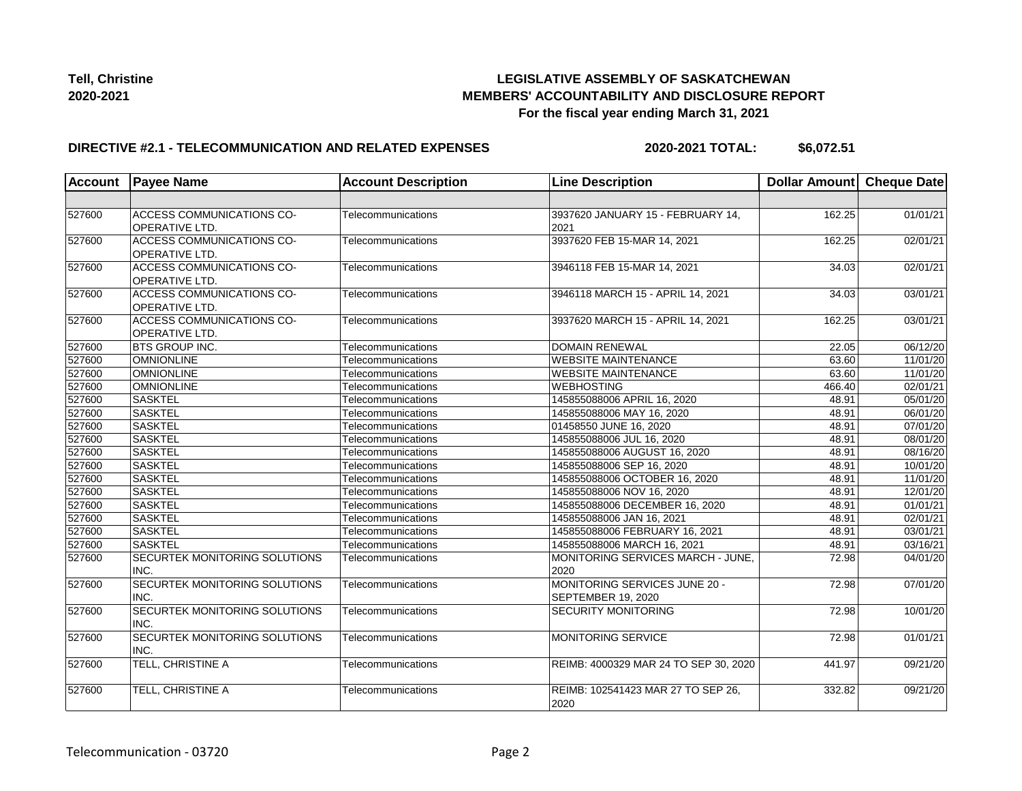

### **DIRECTIVE #2.1 - TELECOMMUNICATION AND RELATED EXPENSES**

**2020-2021 TOTAL: \$6,072.51**

| <b>Account</b> | <b>Payee Name</b>                                         | <b>Account Description</b> | <b>Line Description</b>                             | Dollar Amount Cheque Date |          |
|----------------|-----------------------------------------------------------|----------------------------|-----------------------------------------------------|---------------------------|----------|
|                |                                                           |                            |                                                     |                           |          |
| 527600         | <b>ACCESS COMMUNICATIONS CO-</b><br><b>OPERATIVE LTD.</b> | Telecommunications         | 3937620 JANUARY 15 - FEBRUARY 14,<br>2021           | 162.25                    | 01/01/21 |
| 527600         | <b>ACCESS COMMUNICATIONS CO-</b><br><b>OPERATIVE LTD.</b> | Telecommunications         | 3937620 FEB 15-MAR 14, 2021                         | 162.25                    | 02/01/21 |
| 527600         | ACCESS COMMUNICATIONS CO-<br><b>OPERATIVE LTD.</b>        | Telecommunications         | 3946118 FEB 15-MAR 14, 2021                         | 34.03                     | 02/01/21 |
| 527600         | ACCESS COMMUNICATIONS CO-<br>OPERATIVE LTD.               | Telecommunications         | 3946118 MARCH 15 - APRIL 14, 2021                   | 34.03                     | 03/01/21 |
| 527600         | ACCESS COMMUNICATIONS CO-<br>OPERATIVE LTD.               | Telecommunications         | 3937620 MARCH 15 - APRIL 14, 2021                   | 162.25                    | 03/01/21 |
| 527600         | <b>BTS GROUP INC.</b>                                     | Telecommunications         | <b>DOMAIN RENEWAL</b>                               | 22.05                     | 06/12/20 |
| 527600         | <b>OMNIONLINE</b>                                         | Telecommunications         | <b>WEBSITE MAINTENANCE</b>                          | 63.60                     | 11/01/20 |
| 527600         | <b>OMNIONLINE</b>                                         | Telecommunications         | <b>WEBSITE MAINTENANCE</b>                          | 63.60                     | 11/01/20 |
| 527600         | <b>OMNIONLINE</b>                                         | Telecommunications         | <b>WEBHOSTING</b>                                   | 466.40                    | 02/01/21 |
| 527600         | <b>SASKTEL</b>                                            | Telecommunications         | 145855088006 APRIL 16, 2020                         | 48.91                     | 05/01/20 |
| 527600         | <b>SASKTEL</b>                                            | Telecommunications         | 145855088006 MAY 16, 2020                           | 48.91                     | 06/01/20 |
| 527600         | <b>SASKTEL</b>                                            | Telecommunications         | 01458550 JUNE 16, 2020                              | 48.91                     | 07/01/20 |
| 527600         | <b>SASKTEL</b>                                            | Telecommunications         | 145855088006 JUL 16, 2020                           | 48.91                     | 08/01/20 |
| 527600         | <b>SASKTEL</b>                                            | Telecommunications         | 145855088006 AUGUST 16, 2020                        | 48.91                     | 08/16/20 |
| 527600         | <b>SASKTEL</b>                                            | Telecommunications         | 145855088006 SEP 16, 2020                           | 48.91                     | 10/01/20 |
| 527600         | <b>SASKTEL</b>                                            | Telecommunications         | 145855088006 OCTOBER 16, 2020                       | 48.91                     | 11/01/20 |
| 527600         | <b>SASKTEL</b>                                            | Telecommunications         | 145855088006 NOV 16, 2020                           | 48.91                     | 12/01/20 |
| 527600         | <b>SASKTEL</b>                                            | Telecommunications         | 145855088006 DECEMBER 16, 2020                      | 48.91                     | 01/01/21 |
| 527600         | <b>SASKTEL</b>                                            | Telecommunications         | 145855088006 JAN 16, 2021                           | 48.91                     | 02/01/21 |
| 527600         | <b>SASKTEL</b>                                            | Telecommunications         | 145855088006 FEBRUARY 16, 2021                      | 48.91                     | 03/01/21 |
| 527600         | <b>SASKTEL</b>                                            | Telecommunications         | 145855088006 MARCH 16, 2021                         | 48.91                     | 03/16/21 |
| 527600         | SECURTEK MONITORING SOLUTIONS<br>INC.                     | Telecommunications         | MONITORING SERVICES MARCH - JUNE.<br>2020           | 72.98                     | 04/01/20 |
| 527600         | SECURTEK MONITORING SOLUTIONS<br>INC.                     | Telecommunications         | MONITORING SERVICES JUNE 20 -<br>SEPTEMBER 19, 2020 | 72.98                     | 07/01/20 |
| 527600         | SECURTEK MONITORING SOLUTIONS<br>INC.                     | Telecommunications         | <b>SECURITY MONITORING</b>                          | 72.98                     | 10/01/20 |
| 527600         | SECURTEK MONITORING SOLUTIONS<br>INC.                     | Telecommunications         | <b>MONITORING SERVICE</b>                           | 72.98                     | 01/01/21 |
| 527600         | TELL, CHRISTINE A                                         | Telecommunications         | REIMB: 4000329 MAR 24 TO SEP 30, 2020               | 441.97                    | 09/21/20 |
| 527600         | TELL, CHRISTINE A                                         | Telecommunications         | REIMB: 102541423 MAR 27 TO SEP 26,<br>2020          | 332.82                    | 09/21/20 |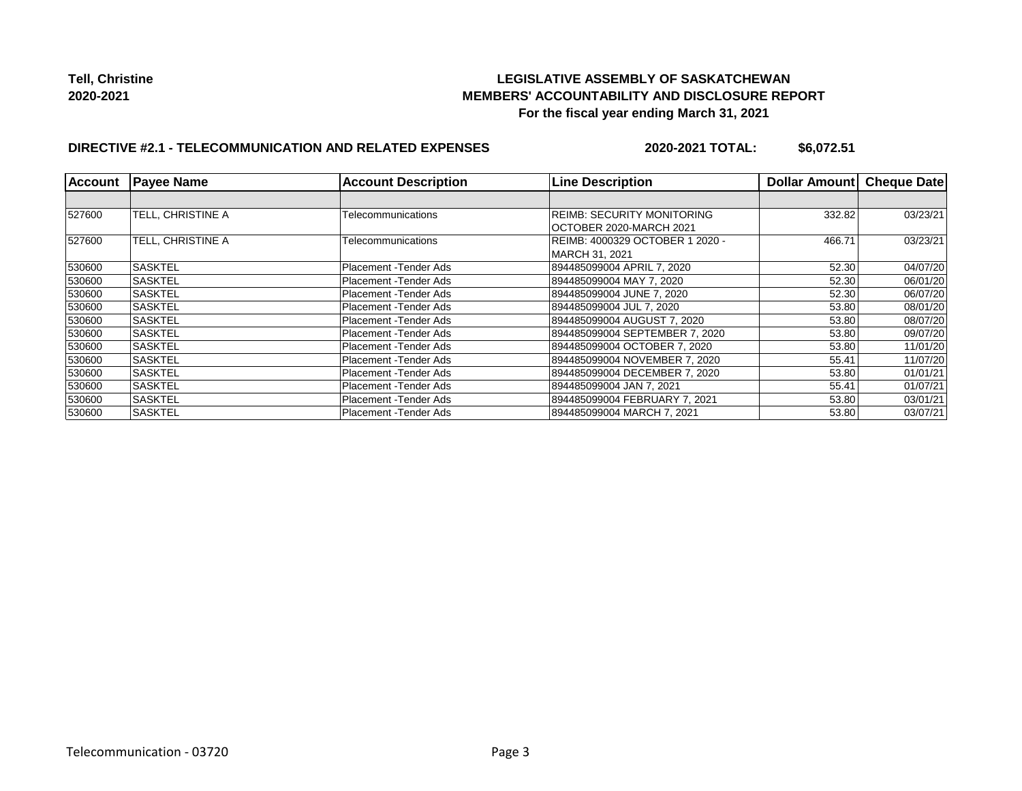## **LEGISLATIVE ASSEMBLY OF SASKATCHEWAN MEMBERS' ACCOUNTABILITY AND DISCLOSURE REPORT For the fiscal year ending March 31, 2021**

## **DIRECTIVE #2.1 - TELECOMMUNICATION AND RELATED EXPENSES**

**2020-2021 TOTAL: \$6,072.51**

| <b>Account</b> | <b>Payee Name</b> | <b>Account Description</b> | <b>Line Description</b>                                      | <b>Dollar Amount</b> | <b>Cheque Date</b> |
|----------------|-------------------|----------------------------|--------------------------------------------------------------|----------------------|--------------------|
|                |                   |                            |                                                              |                      |                    |
| 527600         | TELL. CHRISTINE A | Telecommunications         | <b>REIMB: SECURITY MONITORING</b><br>OCTOBER 2020-MARCH 2021 | 332.82               | 03/23/21           |
| 527600         | TELL, CHRISTINE A | Telecommunications         | REIMB: 4000329 OCTOBER 1 2020 -<br> MARCH 31. 2021           | 466.71               | 03/23/21           |
| 530600         | <b>SASKTEL</b>    | Placement - Tender Ads     | 894485099004 APRIL 7, 2020                                   | 52.30                | 04/07/20           |
| 530600         | <b>SASKTEL</b>    | Placement - Tender Ads     | 894485099004 MAY 7, 2020                                     | 52.30                | 06/01/20           |
| 530600         | <b>SASKTEL</b>    | Placement - Tender Ads     | 894485099004 JUNE 7, 2020                                    | 52.30                | 06/07/20           |
| 530600         | <b>SASKTEL</b>    | Placement - Tender Ads     | 894485099004 JUL 7, 2020                                     | 53.80                | 08/01/20           |
| 530600         | <b>SASKTEL</b>    | Placement - Tender Ads     | 894485099004 AUGUST 7, 2020                                  | 53.80                | 08/07/20           |
| 530600         | <b>SASKTEL</b>    | Placement - Tender Ads     | 894485099004 SEPTEMBER 7, 2020                               | 53.80                | 09/07/20           |
| 530600         | ISASKTEL          | Placement - Tender Ads     | 894485099004 OCTOBER 7, 2020                                 | 53.80                | 11/01/20           |
| 530600         | <b>SASKTEL</b>    | Placement - Tender Ads     | 894485099004 NOVEMBER 7, 2020                                | 55.41                | 11/07/20           |
| 530600         | <b>SASKTEL</b>    | Placement - Tender Ads     | 894485099004 DECEMBER 7, 2020                                | 53.80                | 01/01/21           |
| 530600         | ISASKTEL          | Placement - Tender Ads     | 894485099004 JAN 7, 2021                                     | 55.41                | 01/07/21           |
| 530600         | SASKTEL           | Placement - Tender Ads     | 894485099004 FEBRUARY 7, 2021                                | 53.80                | 03/01/21           |
| 530600         | <b>SASKTEL</b>    | Placement - Tender Ads     | 894485099004 MARCH 7. 2021                                   | 53.80                | 03/07/21           |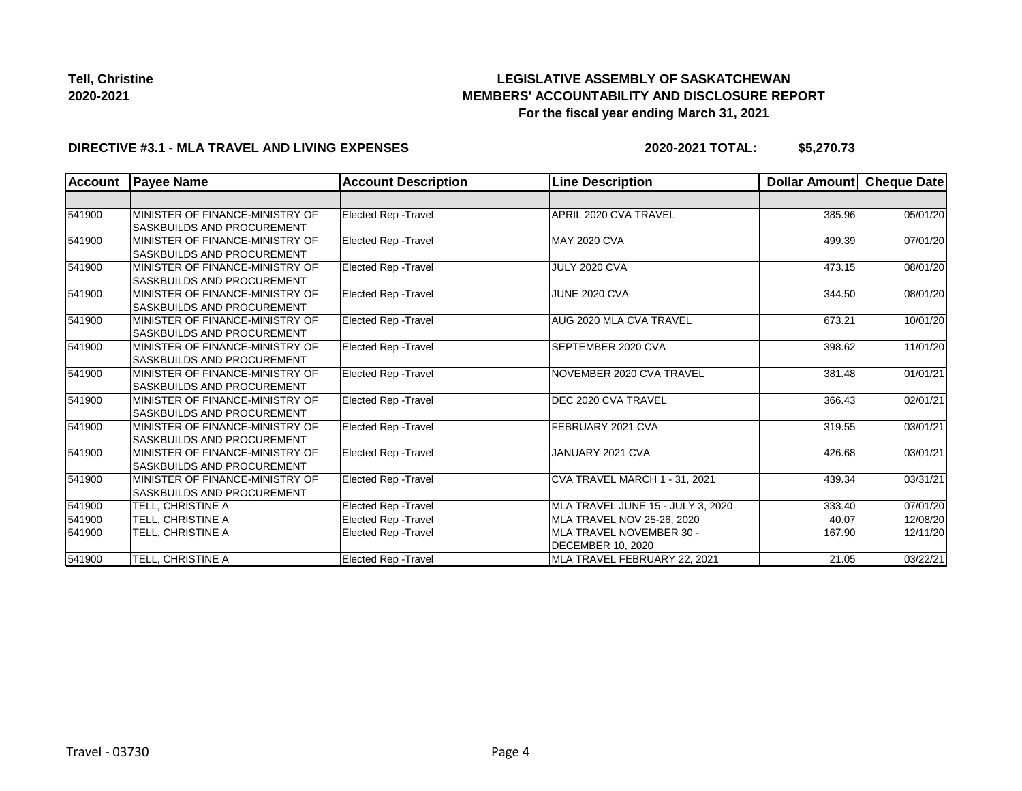# **LEGISLATIVE ASSEMBLY OF SASKATCHEWAN MEMBERS' ACCOUNTABILITY AND DISCLOSURE REPORT For the fiscal year ending March 31, 2021**

#### **DIRECTIVE #3.1 - MLA TRAVEL AND LIVING EXPENSES**

**2020-2021 TOTAL: \$5,270.73**

| <b>Account</b> | <b>Payee Name</b>                 | <b>Account Description</b>  | <b>Line Description</b>           | Dollar Amount | Cheque Date |
|----------------|-----------------------------------|-----------------------------|-----------------------------------|---------------|-------------|
|                |                                   |                             |                                   |               |             |
| 541900         | MINISTER OF FINANCE-MINISTRY OF   | Elected Rep - Travel        | APRIL 2020 CVA TRAVEL             | 385.96        | 05/01/20    |
|                | <b>SASKBUILDS AND PROCUREMENT</b> |                             |                                   |               |             |
| 541900         | MINISTER OF FINANCE-MINISTRY OF   | Elected Rep - Travel        | <b>MAY 2020 CVA</b>               | 499.39        | 07/01/20    |
|                | <b>SASKBUILDS AND PROCUREMENT</b> |                             |                                   |               |             |
| 541900         | MINISTER OF FINANCE-MINISTRY OF   | Elected Rep - Travel        | JULY 2020 CVA                     | 473.15        | 08/01/20    |
|                | <b>SASKBUILDS AND PROCUREMENT</b> |                             |                                   |               |             |
| 541900         | MINISTER OF FINANCE-MINISTRY OF   | Elected Rep - Travel        | JUNE 2020 CVA                     | 344.50        | 08/01/20    |
|                | <b>SASKBUILDS AND PROCUREMENT</b> |                             |                                   |               |             |
| 541900         | MINISTER OF FINANCE-MINISTRY OF   | Elected Rep - Travel        | AUG 2020 MLA CVA TRAVEL           | 673.21        | 10/01/20    |
|                | <b>SASKBUILDS AND PROCUREMENT</b> |                             |                                   |               |             |
| 541900         | MINISTER OF FINANCE-MINISTRY OF   | Elected Rep - Travel        | SEPTEMBER 2020 CVA                | 398.62        | 11/01/20    |
|                | <b>SASKBUILDS AND PROCUREMENT</b> |                             |                                   |               |             |
| 541900         | MINISTER OF FINANCE-MINISTRY OF   | Elected Rep - Travel        | NOVEMBER 2020 CVA TRAVEL          | 381.48        | 01/01/21    |
|                | <b>SASKBUILDS AND PROCUREMENT</b> |                             |                                   |               |             |
| 541900         | MINISTER OF FINANCE-MINISTRY OF   | Elected Rep - Travel        | DEC 2020 CVA TRAVEL               | 366.43        | 02/01/21    |
|                | <b>SASKBUILDS AND PROCUREMENT</b> |                             |                                   |               |             |
| 541900         | MINISTER OF FINANCE-MINISTRY OF   | Elected Rep - Travel        | FEBRUARY 2021 CVA                 | 319.55        | 03/01/21    |
|                | <b>SASKBUILDS AND PROCUREMENT</b> |                             |                                   |               |             |
| 541900         | MINISTER OF FINANCE-MINISTRY OF   | Elected Rep - Travel        | JANUARY 2021 CVA                  | 426.68        | 03/01/21    |
|                | <b>SASKBUILDS AND PROCUREMENT</b> |                             |                                   |               |             |
| 541900         | MINISTER OF FINANCE-MINISTRY OF   | Elected Rep - Travel        | CVA TRAVEL MARCH 1 - 31, 2021     | 439.34        | 03/31/21    |
|                | SASKBUILDS AND PROCUREMENT        |                             |                                   |               |             |
| 541900         | TELL, CHRISTINE A                 | Elected Rep - Travel        | MLA TRAVEL JUNE 15 - JULY 3, 2020 | 333.40        | 07/01/20    |
| 541900         | TELL, CHRISTINE A                 | <b>Elected Rep - Travel</b> | MLA TRAVEL NOV 25-26, 2020        | 40.07         | 12/08/20    |
| 541900         | TELL, CHRISTINE A                 | <b>Elected Rep - Travel</b> | MLA TRAVEL NOVEMBER 30 -          | 167.90        | 12/11/20    |
|                |                                   |                             | <b>DECEMBER 10, 2020</b>          |               |             |
| 541900         | TELL, CHRISTINE A                 | Elected Rep - Travel        | MLA TRAVEL FEBRUARY 22, 2021      | 21.05         | 03/22/21    |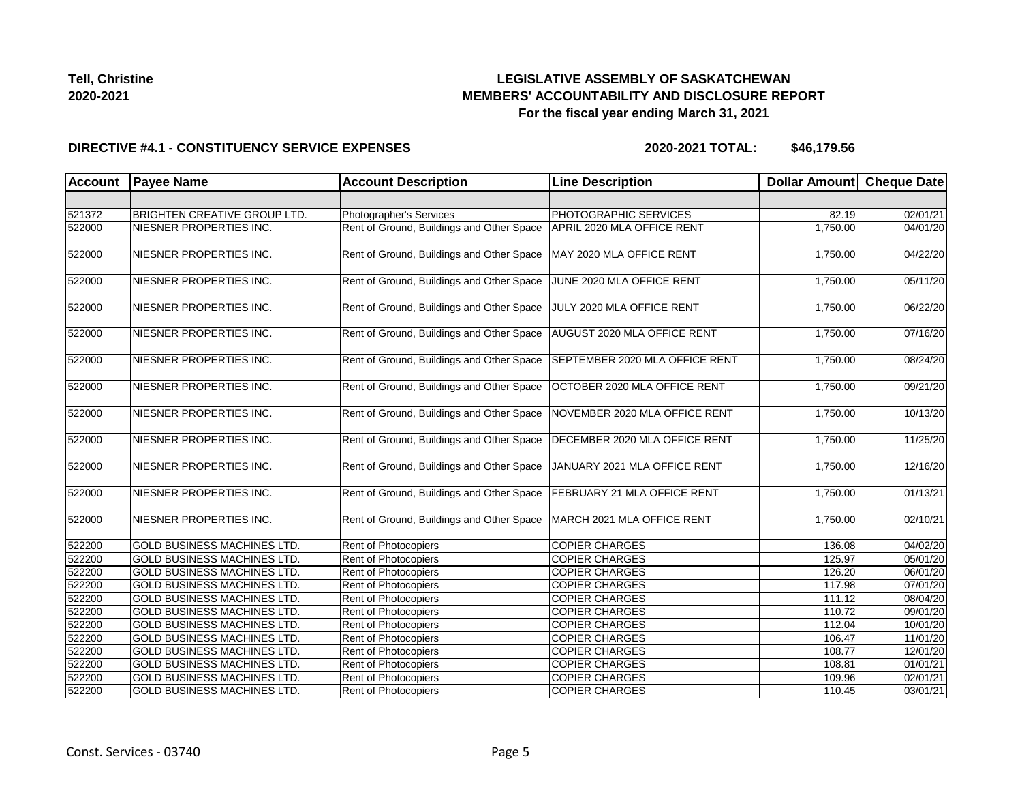

#### **DIRECTIVE #4.1 - CONSTITUENCY SERVICE EXPENSES**

| <b>Account</b> | <b>Payee Name</b>                   | <b>Account Description</b>                | <b>Line Description</b>            | Dollar Amount | <b>Cheque Date</b>    |
|----------------|-------------------------------------|-------------------------------------------|------------------------------------|---------------|-----------------------|
|                |                                     |                                           |                                    |               |                       |
| 521372         | <b>BRIGHTEN CREATIVE GROUP LTD.</b> | Photographer's Services                   | PHOTOGRAPHIC SERVICES              | 82.19         | 02/01/21              |
| 522000         | NIESNER PROPERTIES INC.             | Rent of Ground, Buildings and Other Space | APRIL 2020 MLA OFFICE RENT         | 1,750.00      | 04/01/20              |
| 522000         | NIESNER PROPERTIES INC.             | Rent of Ground, Buildings and Other Space | MAY 2020 MLA OFFICE RENT           | 1,750.00      | 04/22/20              |
| 522000         | NIESNER PROPERTIES INC.             | Rent of Ground, Buildings and Other Space | JUNE 2020 MLA OFFICE RENT          | 1,750.00      | 05/11/20              |
| 522000         | NIESNER PROPERTIES INC.             | Rent of Ground, Buildings and Other Space | JULY 2020 MLA OFFICE RENT          | 1,750.00      | 06/22/20              |
| 522000         | NIESNER PROPERTIES INC.             | Rent of Ground, Buildings and Other Space | AUGUST 2020 MLA OFFICE RENT        | 1,750.00      | 07/16/20              |
| 522000         | NIESNER PROPERTIES INC.             | Rent of Ground, Buildings and Other Space | SEPTEMBER 2020 MLA OFFICE RENT     | 1,750.00      | 08/24/20              |
| 522000         | NIESNER PROPERTIES INC.             | Rent of Ground, Buildings and Other Space | OCTOBER 2020 MLA OFFICE RENT       | 1,750.00      | 09/21/20              |
| 522000         | NIESNER PROPERTIES INC.             | Rent of Ground, Buildings and Other Space | NOVEMBER 2020 MLA OFFICE RENT      | 1,750.00      | 10/13/20              |
| 522000         | NIESNER PROPERTIES INC.             | Rent of Ground, Buildings and Other Space | DECEMBER 2020 MLA OFFICE RENT      | 1,750.00      | 11/25/20              |
| 522000         | NIESNER PROPERTIES INC.             | Rent of Ground, Buildings and Other Space | JANUARY 2021 MLA OFFICE RENT       | 1,750.00      | 12/16/20              |
| 522000         | NIESNER PROPERTIES INC.             | Rent of Ground, Buildings and Other Space | <b>FEBRUARY 21 MLA OFFICE RENT</b> | 1,750.00      | 01/13/21              |
| 522000         | NIESNER PROPERTIES INC.             | Rent of Ground, Buildings and Other Space | MARCH 2021 MLA OFFICE RENT         | 1,750.00      | 02/10/21              |
| 522200         | GOLD BUSINESS MACHINES LTD.         | Rent of Photocopiers                      | <b>COPIER CHARGES</b>              | 136.08        | 04/02/20              |
| 522200         | GOLD BUSINESS MACHINES LTD.         | Rent of Photocopiers                      | <b>COPIER CHARGES</b>              | 125.97        | 05/01/20              |
| 522200         | <b>GOLD BUSINESS MACHINES LTD.</b>  | <b>Rent of Photocopiers</b>               | <b>COPIER CHARGES</b>              | 126.20        | $\overline{06}/01/20$ |
| 522200         | <b>GOLD BUSINESS MACHINES LTD.</b>  | Rent of Photocopiers                      | <b>COPIER CHARGES</b>              | 117.98        | 07/01/20              |
| 522200         | <b>GOLD BUSINESS MACHINES LTD.</b>  | Rent of Photocopiers                      | <b>COPIER CHARGES</b>              | 111.12        | 08/04/20              |
| 522200         | <b>GOLD BUSINESS MACHINES LTD.</b>  | Rent of Photocopiers                      | <b>COPIER CHARGES</b>              | 110.72        | 09/01/20              |
| 522200         | <b>GOLD BUSINESS MACHINES LTD.</b>  | Rent of Photocopiers                      | <b>COPIER CHARGES</b>              | 112.04        | 10/01/20              |
| 522200         | <b>GOLD BUSINESS MACHINES LTD.</b>  | Rent of Photocopiers                      | <b>COPIER CHARGES</b>              | 106.47        | 11/01/20              |
| 522200         | <b>GOLD BUSINESS MACHINES LTD.</b>  | Rent of Photocopiers                      | <b>COPIER CHARGES</b>              | 108.77        | 12/01/20              |
| 522200         | GOLD BUSINESS MACHINES LTD.         | Rent of Photocopiers                      | <b>COPIER CHARGES</b>              | 108.81        | 01/01/21              |
| 522200         | GOLD BUSINESS MACHINES LTD.         | Rent of Photocopiers                      | <b>COPIER CHARGES</b>              | 109.96        | 02/01/21              |
| 522200         | GOLD BUSINESS MACHINES LTD.         | Rent of Photocopiers                      | <b>COPIER CHARGES</b>              | 110.45        | 03/01/21              |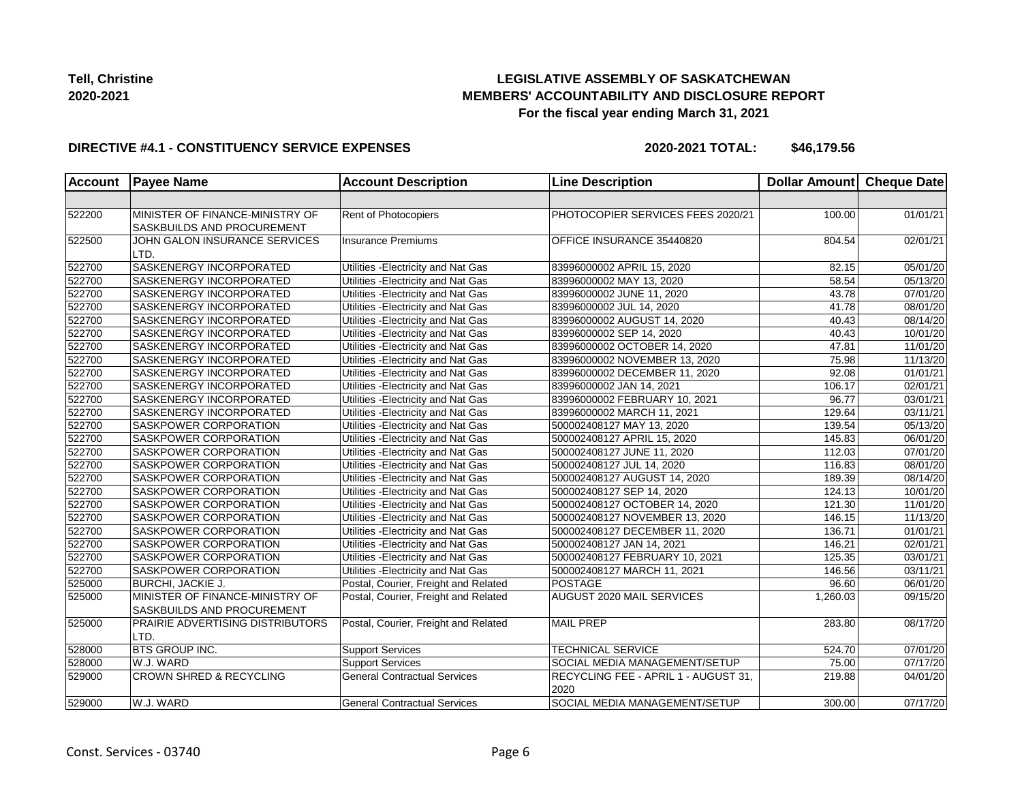

#### **DIRECTIVE #4.1 - CONSTITUENCY SERVICE EXPENSES**

| <b>Account</b> | <b>Payee Name</b>                                             | <b>Account Description</b>           | <b>Line Description</b>                      | <b>Dollar Amount</b> | Cheque Date           |
|----------------|---------------------------------------------------------------|--------------------------------------|----------------------------------------------|----------------------|-----------------------|
|                |                                                               |                                      |                                              |                      |                       |
| 522200         | MINISTER OF FINANCE-MINISTRY OF<br>SASKBUILDS AND PROCUREMENT | Rent of Photocopiers                 | PHOTOCOPIER SERVICES FEES 2020/21            | 100.00               | 01/01/21              |
| 522500         | JOHN GALON INSURANCE SERVICES<br>LTD.                         | Insurance Premiums                   | OFFICE INSURANCE 35440820                    | 804.54               | 02/01/21              |
| 522700         | <b>SASKENERGY INCORPORATED</b>                                | Utilities - Electricity and Nat Gas  | 83996000002 APRIL 15, 2020                   | 82.15                | 05/01/20              |
| 522700         | SASKENERGY INCORPORATED                                       | Utilities - Electricity and Nat Gas  | 83996000002 MAY 13, 2020                     | 58.54                | 05/13/20              |
| 522700         | SASKENERGY INCORPORATED                                       | Utilities - Electricity and Nat Gas  | 83996000002 JUNE 11, 2020                    | 43.78                | 07/01/20              |
| 522700         | SASKENERGY INCORPORATED                                       | Utilities - Electricity and Nat Gas  | 83996000002 JUL 14, 2020                     | 41.78                | 08/01/20              |
| 522700         | SASKENERGY INCORPORATED                                       | Utilities - Electricity and Nat Gas  | 83996000002 AUGUST 14, 2020                  | 40.43                | 08/14/20              |
| 522700         | SASKENERGY INCORPORATED                                       | Utilities - Electricity and Nat Gas  | 83996000002 SEP 14, 2020                     | 40.43                | 10/01/20              |
| 522700         | <b>SASKENERGY INCORPORATED</b>                                | Utilities - Electricity and Nat Gas  | 83996000002 OCTOBER 14, 2020                 | 47.81                | 11/01/20              |
| 522700         | SASKENERGY INCORPORATED                                       | Utilities - Electricity and Nat Gas  | 83996000002 NOVEMBER 13, 2020                | 75.98                | 11/13/20              |
| 522700         | SASKENERGY INCORPORATED                                       | Utilities - Electricity and Nat Gas  | 83996000002 DECEMBER 11, 2020                | 92.08                | 01/01/21              |
| 522700         | SASKENERGY INCORPORATED                                       | Utilities - Electricity and Nat Gas  | 83996000002 JAN 14, 2021                     | 106.17               | $\overline{02/0}1/21$ |
| 522700         | SASKENERGY INCORPORATED                                       | Utilities - Electricity and Nat Gas  | 83996000002 FEBRUARY 10, 2021                | 96.77                | 03/01/21              |
| 522700         | SASKENERGY INCORPORATED                                       | Utilities - Electricity and Nat Gas  | 83996000002 MARCH 11, 2021                   | 129.64               | 03/11/21              |
| 522700         | <b>SASKPOWER CORPORATION</b>                                  | Utilities - Electricity and Nat Gas  | 500002408127 MAY 13, 2020                    | 139.54               | 05/13/20              |
| 522700         | SASKPOWER CORPORATION                                         | Utilities - Electricity and Nat Gas  | 500002408127 APRIL 15, 2020                  | 145.83               | 06/01/20              |
| 522700         | SASKPOWER CORPORATION                                         | Utilities - Electricity and Nat Gas  | 500002408127 JUNE 11, 2020                   | 112.03               | 07/01/20              |
| 522700         | SASKPOWER CORPORATION                                         | Utilities - Electricity and Nat Gas  | 500002408127 JUL 14, 2020                    | 116.83               | 08/01/20              |
| 522700         | SASKPOWER CORPORATION                                         | Utilities - Electricity and Nat Gas  | 500002408127 AUGUST 14, 2020                 | 189.39               | 08/14/20              |
| 522700         | SASKPOWER CORPORATION                                         | Utilities - Electricity and Nat Gas  | 500002408127 SEP 14, 2020                    | 124.13               | 10/01/20              |
| 522700         | <b>SASKPOWER CORPORATION</b>                                  | Utilities - Electricity and Nat Gas  | 500002408127 OCTOBER 14, 2020                | 121.30               | 11/01/20              |
| 522700         | SASKPOWER CORPORATION                                         | Utilities - Electricity and Nat Gas  | 500002408127 NOVEMBER 13, 2020               | 146.15               | 11/13/20              |
| 522700         | SASKPOWER CORPORATION                                         | Utilities - Electricity and Nat Gas  | 500002408127 DECEMBER 11, 2020               | 136.71               | 01/01/21              |
| 522700         | SASKPOWER CORPORATION                                         | Utilities - Electricity and Nat Gas  | 500002408127 JAN 14, 2021                    | 146.21               | 02/01/21              |
| 522700         | SASKPOWER CORPORATION                                         | Utilities - Electricity and Nat Gas  | 500002408127 FEBRUARY 10, 2021               | 125.35               | 03/01/21              |
| 522700         | SASKPOWER CORPORATION                                         | Utilities - Electricity and Nat Gas  | 500002408127 MARCH 11, 2021                  | 146.56               | 03/11/21              |
| 525000         | <b>BURCHI, JACKIE J.</b>                                      | Postal, Courier, Freight and Related | POSTAGE                                      | 96.60                | 06/01/20              |
| 525000         | MINISTER OF FINANCE-MINISTRY OF<br>SASKBUILDS AND PROCUREMENT | Postal, Courier, Freight and Related | AUGUST 2020 MAIL SERVICES                    | 1,260.03             | 09/15/20              |
| 525000         | <b>PRAIRIE ADVERTISING DISTRIBUTORS</b><br>LTD.               | Postal, Courier, Freight and Related | <b>MAIL PREP</b>                             | 283.80               | 08/17/20              |
| 528000         | <b>BTS GROUP INC.</b>                                         | <b>Support Services</b>              | <b>TECHNICAL SERVICE</b>                     | 524.70               | 07/01/20              |
| 528000         | W.J. WARD                                                     | <b>Support Services</b>              | SOCIAL MEDIA MANAGEMENT/SETUP                | 75.00                | 07/17/20              |
| 529000         | <b>CROWN SHRED &amp; RECYCLING</b>                            | <b>General Contractual Services</b>  | RECYCLING FEE - APRIL 1 - AUGUST 31,<br>2020 | 219.88               | 04/01/20              |
| 529000         | W.J. WARD                                                     | <b>General Contractual Services</b>  | SOCIAL MEDIA MANAGEMENT/SETUP                | 300.00               | 07/17/20              |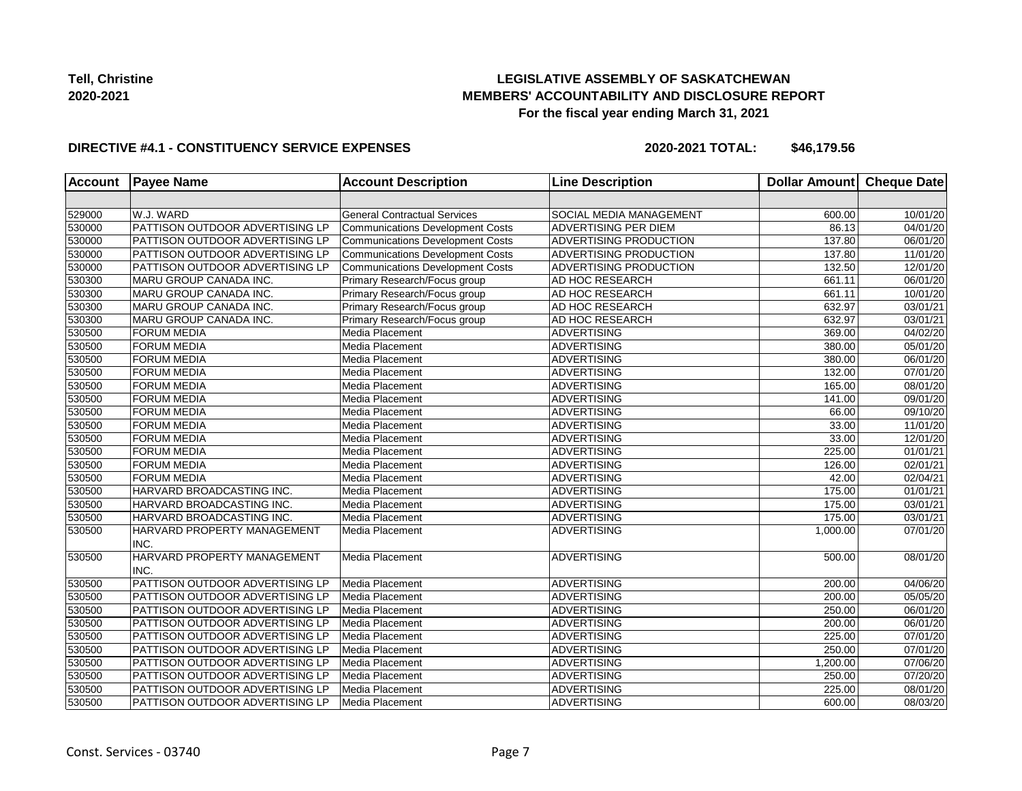## **LEGISLATIVE ASSEMBLY OF SASKATCHEWAN MEMBERS' ACCOUNTABILITY AND DISCLOSURE REPORT For the fiscal year ending March 31, 2021**

#### **DIRECTIVE #4.1 - CONSTITUENCY SERVICE EXPENSES**

| <b>Account</b> | <b>Payee Name</b>                   | <b>Account Description</b>              | <b>Line Description</b> | Dollar Amount Cheque Date |                       |
|----------------|-------------------------------------|-----------------------------------------|-------------------------|---------------------------|-----------------------|
|                |                                     |                                         |                         |                           |                       |
| 529000         | W.J. WARD                           | <b>General Contractual Services</b>     | SOCIAL MEDIA MANAGEMENT | 600.00                    | 10/01/20              |
| 530000         | PATTISON OUTDOOR ADVERTISING LP     | <b>Communications Development Costs</b> | ADVERTISING PER DIEM    | 86.13                     | 04/01/20              |
| 530000         | PATTISON OUTDOOR ADVERTISING LP     | Communications Development Costs        | ADVERTISING PRODUCTION  | 137.80                    | 06/01/20              |
| 530000         | PATTISON OUTDOOR ADVERTISING LP     | Communications Development Costs        | ADVERTISING PRODUCTION  | 137.80                    | 11/01/20              |
| 530000         | PATTISON OUTDOOR ADVERTISING LP     | Communications Development Costs        | ADVERTISING PRODUCTION  | 132.50                    | 12/01/20              |
| 530300         | <b>MARU GROUP CANADA INC.</b>       | Primary Research/Focus group            | AD HOC RESEARCH         | 661.11                    | 06/01/20              |
| 530300         | MARU GROUP CANADA INC.              | Primary Research/Focus group            | AD HOC RESEARCH         | 661.11                    | 10/01/20              |
| 530300         | MARU GROUP CANADA INC.              | Primary Research/Focus group            | AD HOC RESEARCH         | 632.97                    | 03/01/21              |
| 530300         | MARU GROUP CANADA INC.              | Primary Research/Focus group            | AD HOC RESEARCH         | 632.97                    | 03/01/21              |
| 530500         | <b>FORUM MEDIA</b>                  | Media Placement                         | <b>ADVERTISING</b>      | 369.00                    | 04/02/20              |
| 530500         | <b>FORUM MEDIA</b>                  | Media Placement                         | <b>ADVERTISING</b>      | 380.00                    | 05/01/20              |
| 530500         | <b>FORUM MEDIA</b>                  | Media Placement                         | <b>ADVERTISING</b>      | 380.00                    | 06/01/20              |
| 530500         | <b>FORUM MEDIA</b>                  | Media Placement                         | <b>ADVERTISING</b>      | 132.00                    | $\overline{07}/01/20$ |
| 530500         | <b>FORUM MEDIA</b>                  | Media Placement                         | <b>ADVERTISING</b>      | 165.00                    | 08/01/20              |
| 530500         | <b>FORUM MEDIA</b>                  | Media Placement                         | <b>ADVERTISING</b>      | 141.00                    | 09/01/20              |
| 530500         | <b>FORUM MEDIA</b>                  | Media Placement                         | <b>ADVERTISING</b>      | 66.00                     | 09/10/20              |
| 530500         | <b>FORUM MEDIA</b>                  | Media Placement                         | <b>ADVERTISING</b>      | 33.00                     | 11/01/20              |
| 530500         | <b>FORUM MEDIA</b>                  | Media Placement                         | <b>ADVERTISING</b>      | 33.00                     | 12/01/20              |
| 530500         | <b>FORUM MEDIA</b>                  | Media Placement                         | <b>ADVERTISING</b>      | 225.00                    | 01/01/21              |
| 530500         | <b>FORUM MEDIA</b>                  | Media Placement                         | <b>ADVERTISING</b>      | 126.00                    | 02/01/21              |
| 530500         | <b>FORUM MEDIA</b>                  | Media Placement                         | <b>ADVERTISING</b>      | 42.00                     | 02/04/21              |
| 530500         | HARVARD BROADCASTING INC.           | Media Placement                         | <b>ADVERTISING</b>      | 175.00                    | 01/01/21              |
| 530500         | HARVARD BROADCASTING INC.           | Media Placement                         | <b>ADVERTISING</b>      | 175.00                    | 03/01/21              |
| 530500         | HARVARD BROADCASTING INC.           | Media Placement                         | <b>ADVERTISING</b>      | 175.00                    | 03/01/21              |
| 530500         | HARVARD PROPERTY MANAGEMENT<br>INC. | Media Placement                         | <b>ADVERTISING</b>      | 1,000.00                  | 07/01/20              |
| 530500         | HARVARD PROPERTY MANAGEMENT<br>INC. | Media Placement                         | <b>ADVERTISING</b>      | 500.00                    | 08/01/20              |
| 530500         | PATTISON OUTDOOR ADVERTISING LP     | Media Placement                         | <b>ADVERTISING</b>      | 200.00                    | 04/06/20              |
| 530500         | PATTISON OUTDOOR ADVERTISING LP     | Media Placement                         | <b>ADVERTISING</b>      | 200.00                    | 05/05/20              |
| 530500         | PATTISON OUTDOOR ADVERTISING LP     | Media Placement                         | <b>ADVERTISING</b>      | 250.00                    | 06/01/20              |
| 530500         | PATTISON OUTDOOR ADVERTISING LP     | Media Placement                         | <b>ADVERTISING</b>      | 200.00                    | 06/01/20              |
| 530500         | PATTISON OUTDOOR ADVERTISING LP     | Media Placement                         | <b>ADVERTISING</b>      | 225.00                    | 07/01/20              |
| 530500         | PATTISON OUTDOOR ADVERTISING LP     | Media Placement                         | <b>ADVERTISING</b>      | 250.00                    | 07/01/20              |
| 530500         | PATTISON OUTDOOR ADVERTISING LP     | Media Placement                         | <b>ADVERTISING</b>      | 1,200.00                  | 07/06/20              |
| 530500         | PATTISON OUTDOOR ADVERTISING LP     | Media Placement                         | <b>ADVERTISING</b>      | 250.00                    | 07/20/20              |
| 530500         | PATTISON OUTDOOR ADVERTISING LP     | Media Placement                         | <b>ADVERTISING</b>      | 225.00                    | 08/01/20              |
| 530500         | PATTISON OUTDOOR ADVERTISING LP     | Media Placement                         | <b>ADVERTISING</b>      | 600.00                    | 08/03/20              |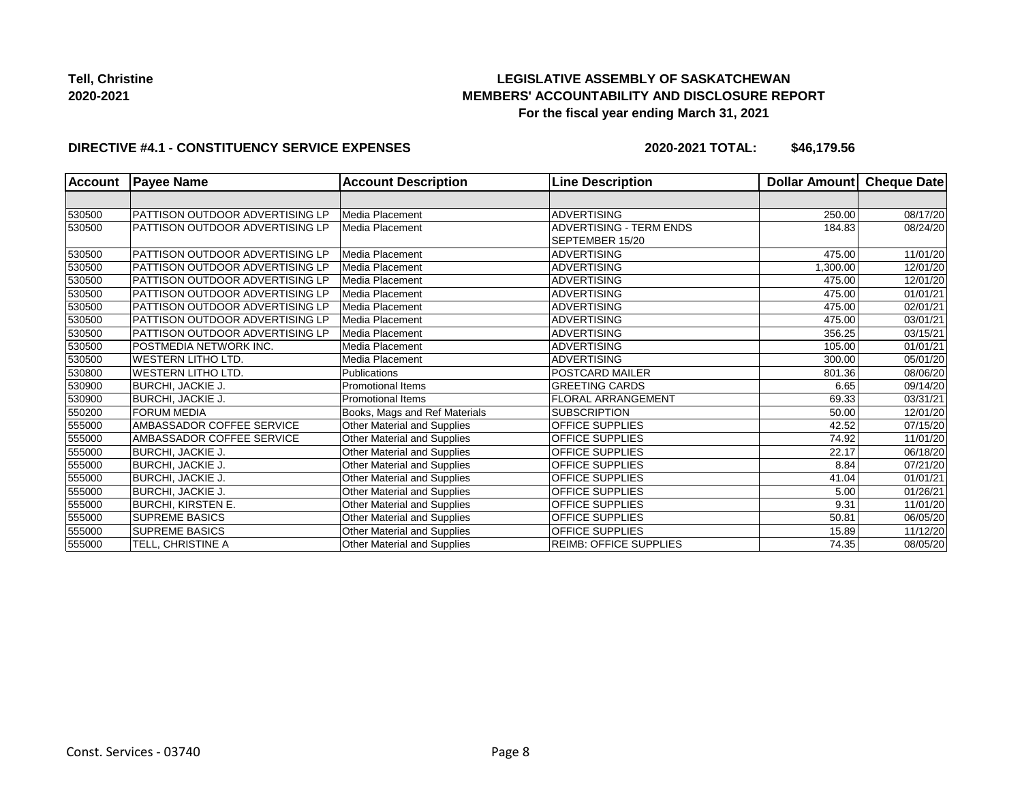# **LEGISLATIVE ASSEMBLY OF SASKATCHEWAN MEMBERS' ACCOUNTABILITY AND DISCLOSURE REPORT For the fiscal year ending March 31, 2021**

#### **DIRECTIVE #4.1 - CONSTITUENCY SERVICE EXPENSES**

| <b>Account</b> | <b>Payee Name</b>               | <b>Account Description</b>    | <b>Line Description</b>        | Dollar Amount | Cheque Date |
|----------------|---------------------------------|-------------------------------|--------------------------------|---------------|-------------|
|                |                                 |                               |                                |               |             |
| 530500         | PATTISON OUTDOOR ADVERTISING LP | Media Placement               | <b>ADVERTISING</b>             | 250.00        | 08/17/20    |
| 530500         | PATTISON OUTDOOR ADVERTISING LP | Media Placement               | <b>ADVERTISING - TERM ENDS</b> | 184.83        | 08/24/20    |
|                |                                 |                               | SEPTEMBER 15/20                |               |             |
| 530500         | PATTISON OUTDOOR ADVERTISING LP | Media Placement               | <b>ADVERTISING</b>             | 475.00        | 11/01/20    |
| 530500         | PATTISON OUTDOOR ADVERTISING LP | Media Placement               | <b>ADVERTISING</b>             | 1,300.00      | 12/01/20    |
| 530500         | PATTISON OUTDOOR ADVERTISING LP | Media Placement               | <b>ADVERTISING</b>             | 475.00        | 12/01/20    |
| 530500         | PATTISON OUTDOOR ADVERTISING LP | Media Placement               | <b>ADVERTISING</b>             | 475.00        | 01/01/21    |
| 530500         | PATTISON OUTDOOR ADVERTISING LP | Media Placement               | <b>ADVERTISING</b>             | 475.00        | 02/01/21    |
| 530500         | PATTISON OUTDOOR ADVERTISING LP | Media Placement               | <b>ADVERTISING</b>             | 475.00        | 03/01/21    |
| 530500         | PATTISON OUTDOOR ADVERTISING LP | Media Placement               | <b>ADVERTISING</b>             | 356.25        | 03/15/21    |
| 530500         | POSTMEDIA NETWORK INC.          | Media Placement               | <b>ADVERTISING</b>             | 105.00        | 01/01/21    |
| 530500         | <b>WESTERN LITHO LTD.</b>       | Media Placement               | <b>ADVERTISING</b>             | 300.00        | 05/01/20    |
| 530800         | WESTERN LITHO LTD.              | Publications                  | <b>POSTCARD MAILER</b>         | 801.36        | 08/06/20    |
| 530900         | <b>BURCHI, JACKIE J.</b>        | <b>Promotional Items</b>      | <b>GREETING CARDS</b>          | 6.65          | 09/14/20    |
| 530900         | BURCHI, JACKIE J.               | <b>Promotional Items</b>      | <b>FLORAL ARRANGEMENT</b>      | 69.33         | 03/31/21    |
| 550200         | <b>FORUM MEDIA</b>              | Books, Mags and Ref Materials | <b>SUBSCRIPTION</b>            | 50.00         | 12/01/20    |
| 555000         | AMBASSADOR COFFEE SERVICE       | Other Material and Supplies   | <b>OFFICE SUPPLIES</b>         | 42.52         | 07/15/20    |
| 555000         | AMBASSADOR COFFEE SERVICE       | Other Material and Supplies   | <b>OFFICE SUPPLIES</b>         | 74.92         | 11/01/20    |
| 555000         | <b>BURCHI, JACKIE J.</b>        | Other Material and Supplies   | <b>OFFICE SUPPLIES</b>         | 22.17         | 06/18/20    |
| 555000         | <b>BURCHI, JACKIE J.</b>        | Other Material and Supplies   | <b>OFFICE SUPPLIES</b>         | 8.84          | 07/21/20    |
| 555000         | <b>BURCHI, JACKIE J.</b>        | Other Material and Supplies   | <b>OFFICE SUPPLIES</b>         | 41.04         | 01/01/21    |
| 555000         | <b>BURCHI, JACKIE J.</b>        | Other Material and Supplies   | <b>OFFICE SUPPLIES</b>         | 5.00          | 01/26/21    |
| 555000         | <b>BURCHI, KIRSTEN E.</b>       | Other Material and Supplies   | OFFICE SUPPLIES                | 9.31          | 11/01/20    |
| 555000         | <b>SUPREME BASICS</b>           | Other Material and Supplies   | OFFICE SUPPLIES                | 50.81         | 06/05/20    |
| 555000         | <b>SUPREME BASICS</b>           | Other Material and Supplies   | <b>OFFICE SUPPLIES</b>         | 15.89         | 11/12/20    |
| 555000         | TELL, CHRISTINE A               | Other Material and Supplies   | <b>REIMB: OFFICE SUPPLIES</b>  | 74.35         | 08/05/20    |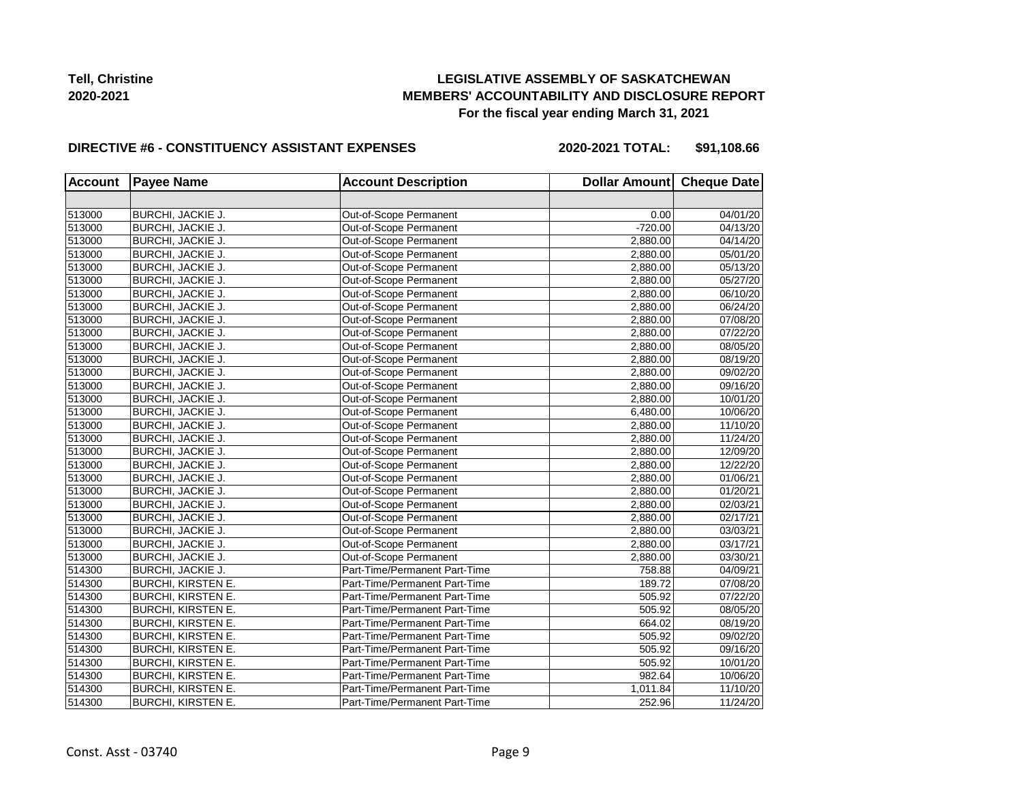## **LEGISLATIVE ASSEMBLY OF SASKATCHEWAN MEMBERS' ACCOUNTABILITY AND DISCLOSURE REPORT For the fiscal year ending March 31, 2021**

#### **DIRECTIVE #6 - CONSTITUENCY ASSISTANT EXPENSES**

**2020-2021 TOTAL: \$91,108.66**

| <b>Account</b> | <b>Payee Name</b>         | <b>Account Description</b>    | Dollar Amount Cheque Date |          |
|----------------|---------------------------|-------------------------------|---------------------------|----------|
|                |                           |                               |                           |          |
| 513000         | BURCHI, JACKIE J.         | Out-of-Scope Permanent        | 0.00                      | 04/01/20 |
| 513000         | BURCHI, JACKIE J.         | Out-of-Scope Permanent        | $-720.00$                 | 04/13/20 |
| 513000         | BURCHI, JACKIE J.         | Out-of-Scope Permanent        | 2,880.00                  | 04/14/20 |
| 513000         | BURCHI, JACKIE J.         | Out-of-Scope Permanent        | 2,880.00                  | 05/01/20 |
| 513000         | BURCHI, JACKIE J.         | Out-of-Scope Permanent        | 2,880.00                  | 05/13/20 |
| 513000         | BURCHI, JACKIE J.         | Out-of-Scope Permanent        | 2,880.00                  | 05/27/20 |
| 513000         | <b>BURCHI, JACKIE J.</b>  | Out-of-Scope Permanent        | 2,880.00                  | 06/10/20 |
| 513000         | <b>BURCHI, JACKIE J.</b>  | Out-of-Scope Permanent        | 2,880.00                  | 06/24/20 |
| 513000         | <b>BURCHI, JACKIE J.</b>  | Out-of-Scope Permanent        | 2,880.00                  | 07/08/20 |
| 513000         | <b>BURCHI, JACKIE J.</b>  | Out-of-Scope Permanent        | 2,880.00                  | 07/22/20 |
| 513000         | BURCHI, JACKIE J.         | Out-of-Scope Permanent        | 2,880.00                  | 08/05/20 |
| 513000         | BURCHI, JACKIE J.         | Out-of-Scope Permanent        | 2,880.00                  | 08/19/20 |
| 513000         | BURCHI, JACKIE J.         | Out-of-Scope Permanent        | 2,880.00                  | 09/02/20 |
| 513000         | BURCHI, JACKIE J.         | Out-of-Scope Permanent        | 2,880.00                  | 09/16/20 |
| 513000         | BURCHI, JACKIE J.         | Out-of-Scope Permanent        | 2,880.00                  | 10/01/20 |
| 513000         | BURCHI, JACKIE J.         | Out-of-Scope Permanent        | 6,480.00                  | 10/06/20 |
| 513000         | BURCHI, JACKIE J.         | Out-of-Scope Permanent        | 2,880.00                  | 11/10/20 |
| 513000         | BURCHI, JACKIE J.         | Out-of-Scope Permanent        | 2,880.00                  | 11/24/20 |
| 513000         | BURCHI, JACKIE J.         | Out-of-Scope Permanent        | 2,880.00                  | 12/09/20 |
| 513000         | BURCHI, JACKIE J.         | Out-of-Scope Permanent        | 2,880.00                  | 12/22/20 |
| 513000         | BURCHI, JACKIE J.         | Out-of-Scope Permanent        | 2,880.00                  | 01/06/21 |
| 513000         | BURCHI, JACKIE J.         | Out-of-Scope Permanent        | 2,880.00                  | 01/20/21 |
| 513000         | BURCHI, JACKIE J.         | Out-of-Scope Permanent        | 2,880.00                  | 02/03/21 |
| 513000         | <b>BURCHI, JACKIE J.</b>  | Out-of-Scope Permanent        | 2,880.00                  | 02/17/21 |
| 513000         | BURCHI, JACKIE J.         | Out-of-Scope Permanent        | 2,880.00                  | 03/03/21 |
| 513000         | BURCHI, JACKIE J.         | Out-of-Scope Permanent        | 2,880.00                  | 03/17/21 |
| 513000         | BURCHI, JACKIE J.         | Out-of-Scope Permanent        | 2,880.00                  | 03/30/21 |
| 514300         | BURCHI, JACKIE J.         | Part-Time/Permanent Part-Time | 758.88                    | 04/09/21 |
| 514300         | <b>BURCHI, KIRSTEN E.</b> | Part-Time/Permanent Part-Time | 189.72                    | 07/08/20 |
| 514300         | <b>BURCHI, KIRSTEN E.</b> | Part-Time/Permanent Part-Time | 505.92                    | 07/22/20 |
| 514300         | <b>BURCHI, KIRSTEN E.</b> | Part-Time/Permanent Part-Time | 505.92                    | 08/05/20 |
| 514300         | <b>BURCHI, KIRSTEN E.</b> | Part-Time/Permanent Part-Time | 664.02                    | 08/19/20 |
| 514300         | <b>BURCHI, KIRSTEN E.</b> | Part-Time/Permanent Part-Time | 505.92                    | 09/02/20 |
| 514300         | <b>BURCHI, KIRSTEN E.</b> | Part-Time/Permanent Part-Time | 505.92                    | 09/16/20 |
| 514300         | <b>BURCHI, KIRSTEN E.</b> | Part-Time/Permanent Part-Time | 505.92                    | 10/01/20 |
| 514300         | <b>BURCHI, KIRSTEN E.</b> | Part-Time/Permanent Part-Time | 982.64                    | 10/06/20 |
| 514300         | <b>BURCHI, KIRSTEN E.</b> | Part-Time/Permanent Part-Time | 1,011.84                  | 11/10/20 |
| 514300         | <b>BURCHI, KIRSTEN E.</b> | Part-Time/Permanent Part-Time | 252.96                    | 11/24/20 |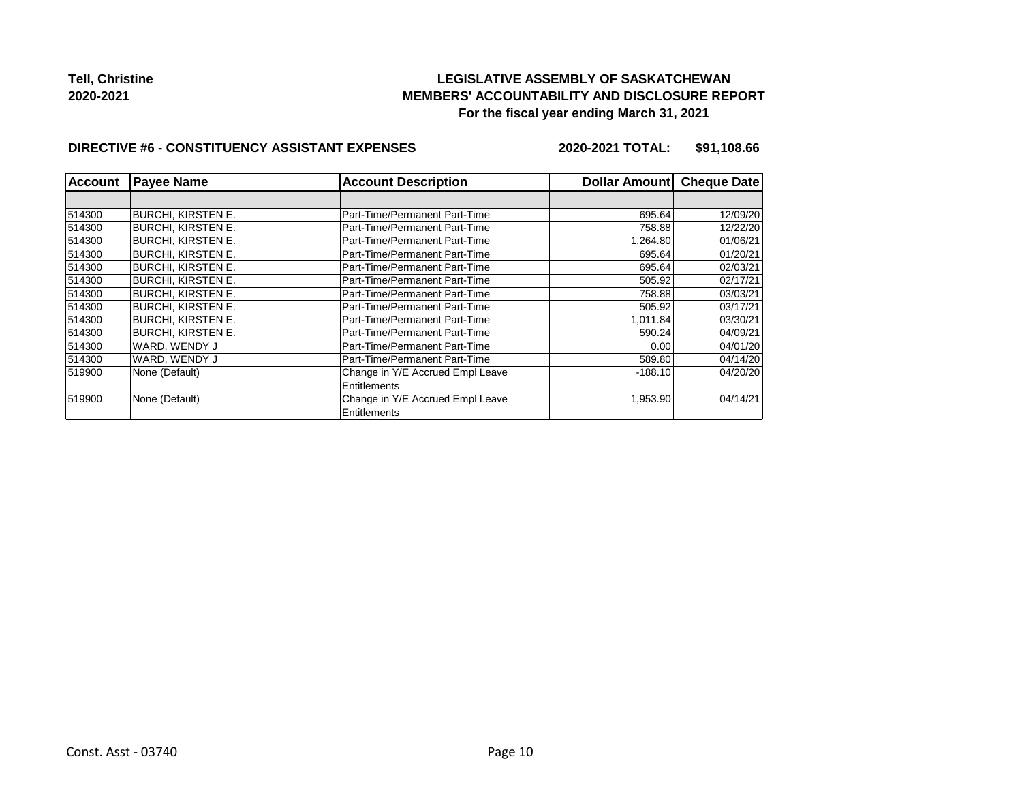## **LEGISLATIVE ASSEMBLY OF SASKATCHEWAN MEMBERS' ACCOUNTABILITY AND DISCLOSURE REPORT For the fiscal year ending March 31, 2021**

#### **DIRECTIVE #6 - CONSTITUENCY ASSISTANT EXPENSES**

**2020-2021 TOTAL: \$91,108.66**

| <b>Account</b> | <b>Payee Name</b>  | <b>Account Description</b>       | Dollar Amount | <b>Cheque Date</b> |
|----------------|--------------------|----------------------------------|---------------|--------------------|
|                |                    |                                  |               |                    |
| 514300         | BURCHI. KIRSTEN E. | Part-Time/Permanent Part-Time    | 695.64        | 12/09/20           |
| 514300         | BURCHI, KIRSTEN E. | Part-Time/Permanent Part-Time    | 758.88        | 12/22/20           |
| 514300         | BURCHI, KIRSTEN E. | Part-Time/Permanent Part-Time    | 1,264.80      | 01/06/21           |
| 514300         | BURCHI, KIRSTEN E. | Part-Time/Permanent Part-Time    | 695.64        | 01/20/21           |
| 514300         | BURCHI, KIRSTEN E. | Part-Time/Permanent Part-Time    | 695.64        | 02/03/21           |
| 514300         | BURCHI, KIRSTEN E. | Part-Time/Permanent Part-Time    | 505.92        | 02/17/21           |
| 514300         | BURCHI, KIRSTEN E. | Part-Time/Permanent Part-Time    | 758.88        | 03/03/21           |
| 514300         | BURCHI, KIRSTEN E. | Part-Time/Permanent Part-Time    | 505.92        | 03/17/21           |
| 514300         | BURCHI, KIRSTEN E. | Part-Time/Permanent Part-Time    | 1,011.84      | 03/30/21           |
| 514300         | BURCHI, KIRSTEN E. | Part-Time/Permanent Part-Time    | 590.24        | 04/09/21           |
| 514300         | WARD, WENDY J      | Part-Time/Permanent Part-Time    | 0.00          | 04/01/20           |
| 514300         | WARD, WENDY J      | Part-Time/Permanent Part-Time    | 589.80        | 04/14/20           |
| 519900         | None (Default)     | Change in Y/E Accrued Empl Leave | $-188.10$     | 04/20/20           |
|                |                    | Entitlements                     |               |                    |
| 519900         | None (Default)     | Change in Y/E Accrued Empl Leave | 1,953.90      | 04/14/21           |
|                |                    | Entitlements                     |               |                    |